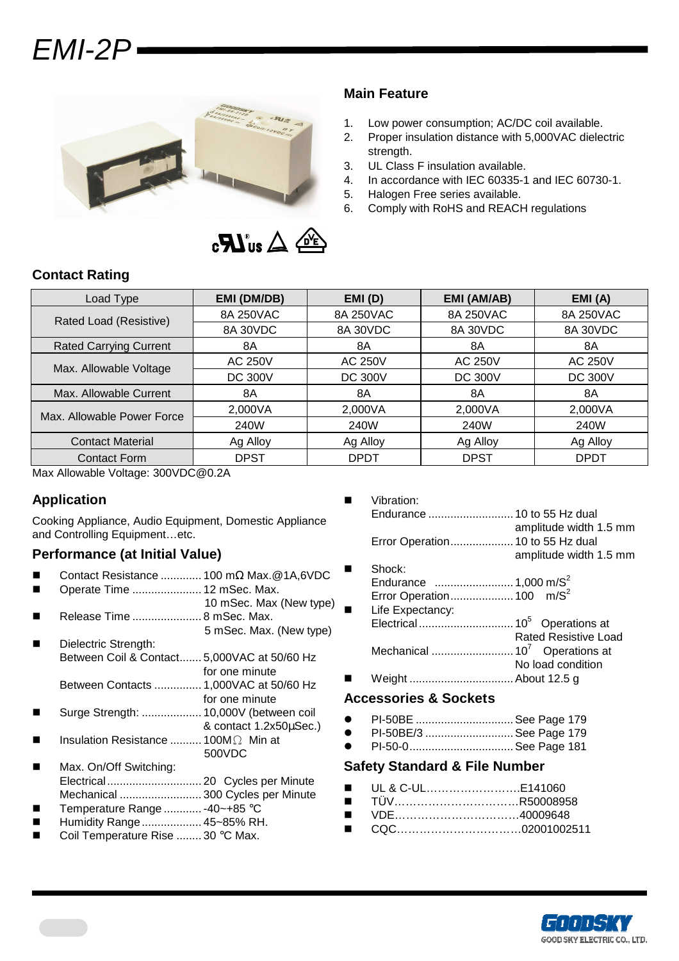# EMI-2P



### **Main Feature**

- 1. Low power consumption; AC/DC coil available.
- 2. Proper insulation distance with 5,000VAC dielectric strength.
- 3. UL Class F insulation available.
- 4. In accordance with IEC 60335-1 and IEC 60730-1.
- 5. Halogen Free series available.
- 6. Comply with RoHS and REACH regulations

# **Contact Rating**

| Load Type                     | EMI (DM/DB)    | EMI(D)         | EMI (AM/AB)    | EMI(A)         |
|-------------------------------|----------------|----------------|----------------|----------------|
| Rated Load (Resistive)        | 8A 250VAC      | 8A 250VAC      | 8A 250VAC      | 8A 250VAC      |
|                               | 8A 30VDC       | 8A 30VDC       | 8A 30VDC       | 8A 30VDC       |
| <b>Rated Carrying Current</b> | 8A             | 8A             | 8A             | 8A             |
| Max. Allowable Voltage        | <b>AC 250V</b> | <b>AC 250V</b> | <b>AC 250V</b> | <b>AC 250V</b> |
|                               | <b>DC 300V</b> | <b>DC 300V</b> | <b>DC 300V</b> | <b>DC 300V</b> |
| Max. Allowable Current        | 8A             | 8A             | 8A             | 8A             |
| Max. Allowable Power Force    | 2,000VA        | 2,000VA        | 2,000VA        | 2,000VA        |
|                               | 240W           | 240W           | 240W           | 240W           |
| <b>Contact Material</b>       | Ag Alloy       | Ag Alloy       | Ag Alloy       | Ag Alloy       |
| Contact Form                  | <b>DPST</b>    | DPDT           | <b>DPST</b>    | <b>DPDT</b>    |

Max Allowable Voltage: 300VDC@0.2A

# **Application**

Cooking Appliance, Audio Equipment, Domestic Appliance and Controlling Equipment...etc.

# **Performance (at Initial Value)**

- Contact Resistance ............. 100 mΩ Max.@1A,6VDC
- Operate Time ...................... 12 mSec. Max.
- 10 mSec. Max (New type) Release Time ...................... 8 mSec. Max. 5 mSec. Max. (New type)
- Dielectric Strength: Between Coil & Contact....... 5,000VAC at 50/60 Hz for one minute
	- Between Contacts ............... 1,000VAC at 50/60 Hz for one minute
- Surge Strength: ................... 10,000V (between coil & contact 1.2x50µSec.)
- Insulation Resistance .......... 100MΩ Min at 500VDC

#### Max. On/Off Switching: Electrical.............................. 20 Cycles per Minute

- Mechanical .......................... 300 Cycles per Minute
- Temperature Range ............ -40~+85 °C
- Humidity Range................... 45~85% RH.
- Coil Temperature Rise ........ 30 °C Max.
- **No. 3** Vibration: Endurance ........................... 10 to 55 Hz dual amplitude width 1.5 mm Error Operation.................... 10 to 55 Hz dual amplitude width 1.5 mm Shock:
- Endurance ......................... 1,000 m/S<sup>2</sup> Error Operation.................... 100 m/S<sup>2</sup> Life Expectancy: Electrical .............................. 10<sup>5</sup>Operations at Rated Resistive Load Mechanical .......................... 10<sup>7</sup> Operations at No load condition
- Weight ................................. About 12.5 g

#### **Accessories & Sockets**

- PI-50BE ............................... See Page 179
- PI-50BE/3 ............................ See Page 179
- PI-50-0................................. See Page 181

#### **Safety Standard & File Number**

- UL & C-UL………………………E141060
- TÜV…………………………………R50008958
- VDE………………………………………40009648
- CQC…………………………02001002511

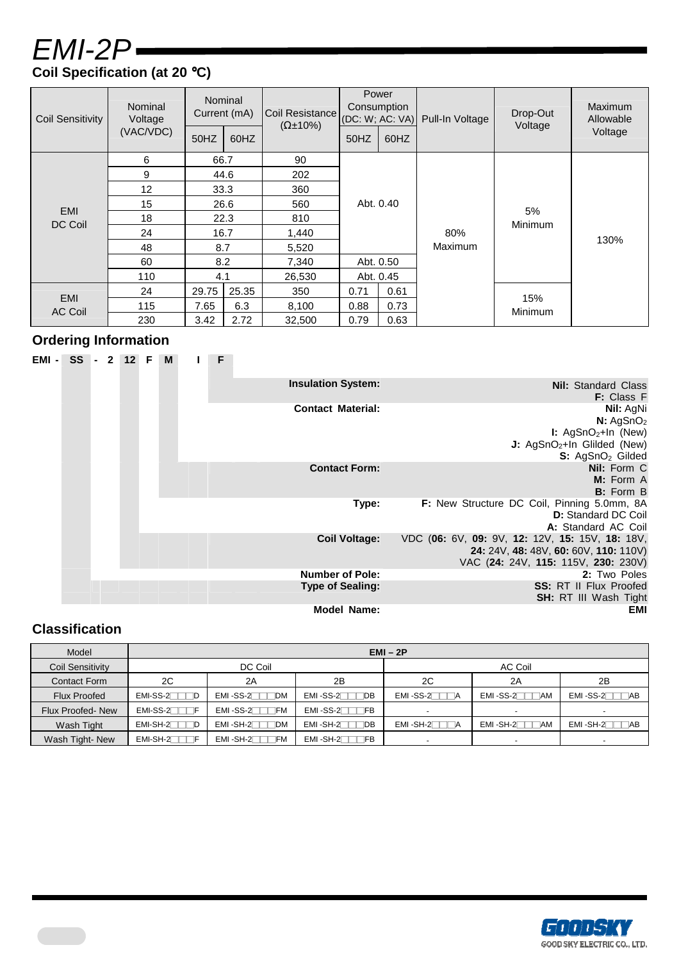# EMI-2P **Coil Specification (at 20** °**C)**

| <b>Coil Sensitivity</b> | Nominal<br>Voltage | Nominal<br>Current (mA) |       | Coil Resistance<br>$(\Omega \pm 10\%)$ | Power<br>Consumption<br>(DC: W; AC: VA) |      | Pull-In Voltage | Drop-Out<br>Voltage | Maximum<br>Allowable |
|-------------------------|--------------------|-------------------------|-------|----------------------------------------|-----------------------------------------|------|-----------------|---------------------|----------------------|
|                         | (VAC/VDC)          | 50HZ                    | 60HZ  |                                        | 50HZ                                    | 60HZ |                 |                     | Voltage              |
|                         | 6                  | 66.7                    |       | 90                                     |                                         |      |                 |                     |                      |
|                         | 9                  | 44.6                    |       | 202                                    |                                         |      |                 |                     |                      |
|                         | 12                 |                         | 33.3  | 360                                    |                                         |      |                 |                     |                      |
| <b>EMI</b>              | 15                 | 26.6                    |       | 560                                    | Abt. 0.40                               |      |                 |                     |                      |
| DC Coil                 | 18                 |                         | 22.3  | 810                                    |                                         |      |                 | 5%<br>Minimum       |                      |
|                         | 24                 | 16.7                    |       | 1,440                                  | Abt. 0.50<br>Abt. 0.45                  |      | 80%             |                     | 130%                 |
|                         | 48                 | 8.7                     |       | 5,520                                  |                                         |      | <b>Maximum</b>  |                     |                      |
|                         | 60                 | 8.2                     |       | 7,340                                  |                                         |      |                 |                     |                      |
|                         | 110                | 4.1                     |       | 26,530                                 |                                         |      |                 |                     |                      |
|                         | 24                 | 29.75                   | 25.35 | 350                                    | 0.71                                    | 0.61 |                 |                     |                      |
| EMI<br><b>AC Coil</b>   | 115                | 7.65                    | 6.3   | 8,100                                  | 0.88                                    | 0.73 |                 | 15%<br>Minimum      |                      |
|                         | 230                | 3.42                    | 2.72  | 32,500                                 | 0.79                                    | 0.63 |                 |                     |                      |

# **Ordering Information**

|                                                                                                                                                         |                           | F | M | 12 F | $\overline{2}$ | $SS -$ | $EMI -$ |
|---------------------------------------------------------------------------------------------------------------------------------------------------------|---------------------------|---|---|------|----------------|--------|---------|
| <b>Nil: Standard Class</b><br>F: Class F                                                                                                                | <b>Insulation System:</b> |   |   |      |                |        |         |
| Nil: AgNi<br>N: AgSnO <sub>2</sub><br><b>I:</b> AgSnO <sub>2</sub> +In (New)<br>J: AgSnO <sub>2</sub> +In Glilded (New)<br>S: AgSnO <sub>2</sub> Gilded | <b>Contact Material:</b>  |   |   |      |                |        |         |
| Nil: Form C<br>M: Form A<br><b>B:</b> Form B                                                                                                            | <b>Contact Form:</b>      |   |   |      |                |        |         |
| F: New Structure DC Coil, Pinning 5.0mm, 8A<br><b>D:</b> Standard DC Coil<br>A: Standard AC Coil                                                        | Type:                     |   |   |      |                |        |         |
| VDC (06: 6V, 09: 9V, 12: 12V, 15: 15V, 18: 18V,<br>24: 24V, 48: 48V, 60: 60V, 110: 110V)<br>VAC (24: 24V, 115: 115V, 230: 230V)                         | <b>Coil Voltage:</b>      |   |   |      |                |        |         |
| 2: Two Poles                                                                                                                                            | <b>Number of Pole:</b>    |   |   |      |                |        |         |
| <b>SS: RT II Flux Proofed</b><br>SH: RT III Wash Tight                                                                                                  | <b>Type of Sealing:</b>   |   |   |      |                |        |         |
| <b>EMI</b>                                                                                                                                              | <b>Model Name:</b>        |   |   |      |                |        |         |

# **Classification**

| Model                   | $EMI - 2P$ |                                |                       |              |              |                          |  |  |  |  |  |
|-------------------------|------------|--------------------------------|-----------------------|--------------|--------------|--------------------------|--|--|--|--|--|
| <b>Coil Sensitivity</b> |            | DC Coil                        |                       | AC Coil      |              |                          |  |  |  |  |  |
| <b>Contact Form</b>     | 2C         | 2A                             | 2B                    | 2C           | 2A           | 2B                       |  |  |  |  |  |
| <b>Flux Proofed</b>     | $EMI-SS-2$ | $EMI - SS-2$ DM                | $EMI - SS-2$ DB       | $EMI - SS-2$ | EMI-SS-2 TAM | $EMI - SS-2$ $\Box$ $AB$ |  |  |  |  |  |
| <b>Flux Proofed-New</b> | $EMI-SS-2$ | $EMI$ -SS-2 $\Box \Box F$ M    | $EMI - SS-2$ $T$ $FB$ |              |              |                          |  |  |  |  |  |
| Wash Tight              | $EMI-SH-2$ | $\sqcap$ DM<br>$EMI - SH - 2T$ | $EMI - SH-2$ DB       | $EMI - SH-2$ | $EMI - SH-2$ | $EMI - SH-2$ $\Box$ $AB$ |  |  |  |  |  |
| Wash Tight-New          | $EMI-SH-2$ | $EMI - SH-2$                   | $EMI - SH - 2$        |              |              | $\overline{\phantom{0}}$ |  |  |  |  |  |